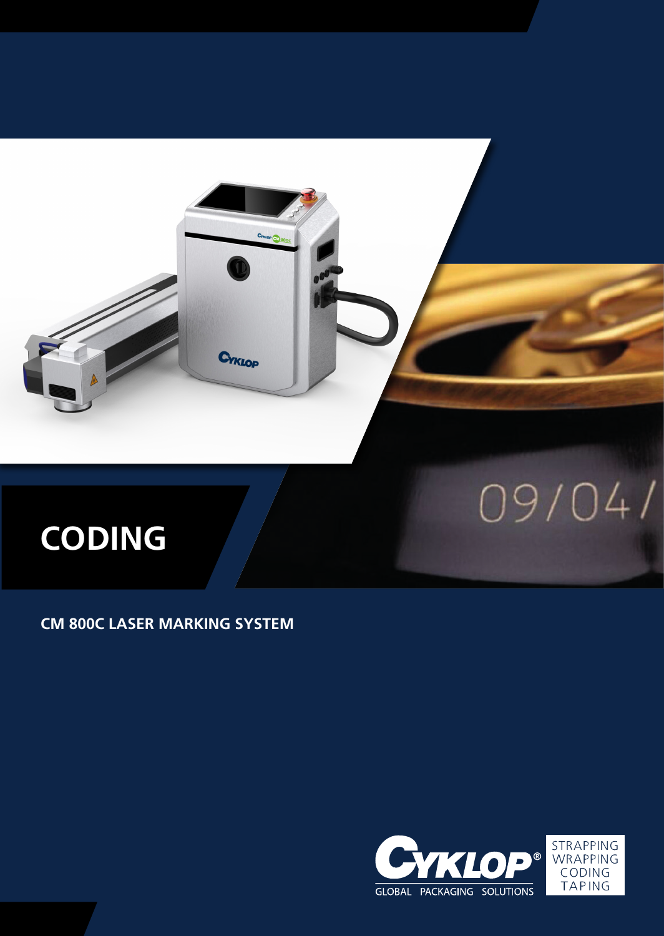

# **CODING**

**CM 800C LASER MARKING SYSTEM**